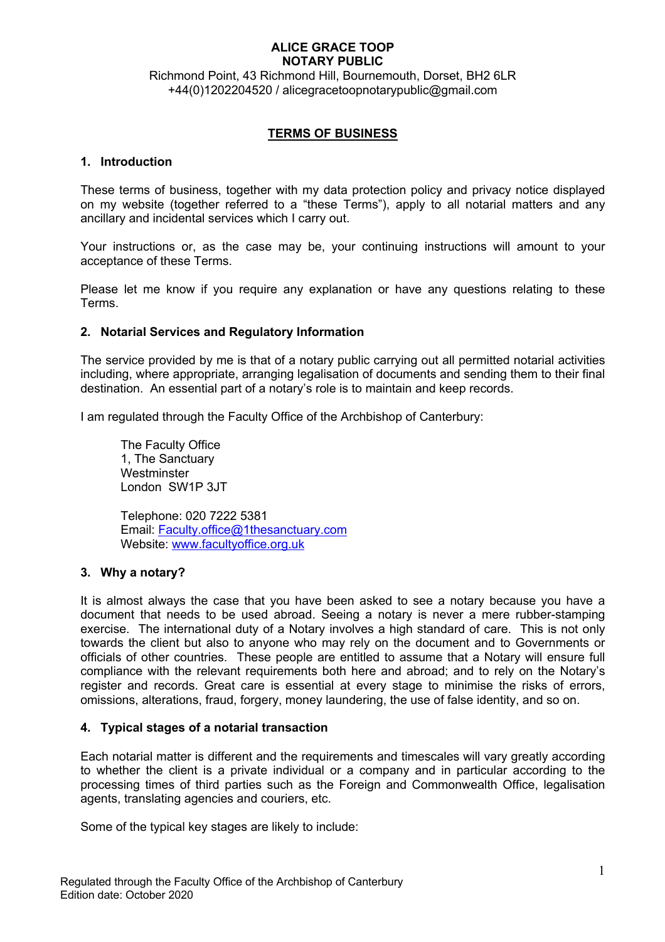Richmond Point, 43 Richmond Hill, Bournemouth, Dorset, BH2 6LR +44(0)1202204520 / alicegracetoopnotarypublic@gmail.com

## **TERMS OF BUSINESS**

### **1. Introduction**

These terms of business, together with my data protection policy and privacy notice displayed on my website (together referred to a "these Terms"), apply to all notarial matters and any ancillary and incidental services which I carry out.

Your instructions or, as the case may be, your continuing instructions will amount to your acceptance of these Terms.

Please let me know if you require any explanation or have any questions relating to these Terms.

## **2. Notarial Services and Regulatory Information**

The service provided by me is that of a notary public carrying out all permitted notarial activities including, where appropriate, arranging legalisation of documents and sending them to their final destination. An essential part of a notary's role is to maintain and keep records.

I am regulated through the Faculty Office of the Archbishop of Canterbury:

The Faculty Office 1, The Sanctuary **Westminster** London SW1P 3JT

Telephone: 020 7222 5381 Email: Faculty.office@1thesanctuary.com Website: www.facultyoffice.org.uk

## **3. Why a notary?**

It is almost always the case that you have been asked to see a notary because you have a document that needs to be used abroad. Seeing a notary is never a mere rubber-stamping exercise. The international duty of a Notary involves a high standard of care. This is not only towards the client but also to anyone who may rely on the document and to Governments or officials of other countries. These people are entitled to assume that a Notary will ensure full compliance with the relevant requirements both here and abroad; and to rely on the Notary's register and records. Great care is essential at every stage to minimise the risks of errors, omissions, alterations, fraud, forgery, money laundering, the use of false identity, and so on.

## **4. Typical stages of a notarial transaction**

Each notarial matter is different and the requirements and timescales will vary greatly according to whether the client is a private individual or a company and in particular according to the processing times of third parties such as the Foreign and Commonwealth Office, legalisation agents, translating agencies and couriers, etc.

Some of the typical key stages are likely to include: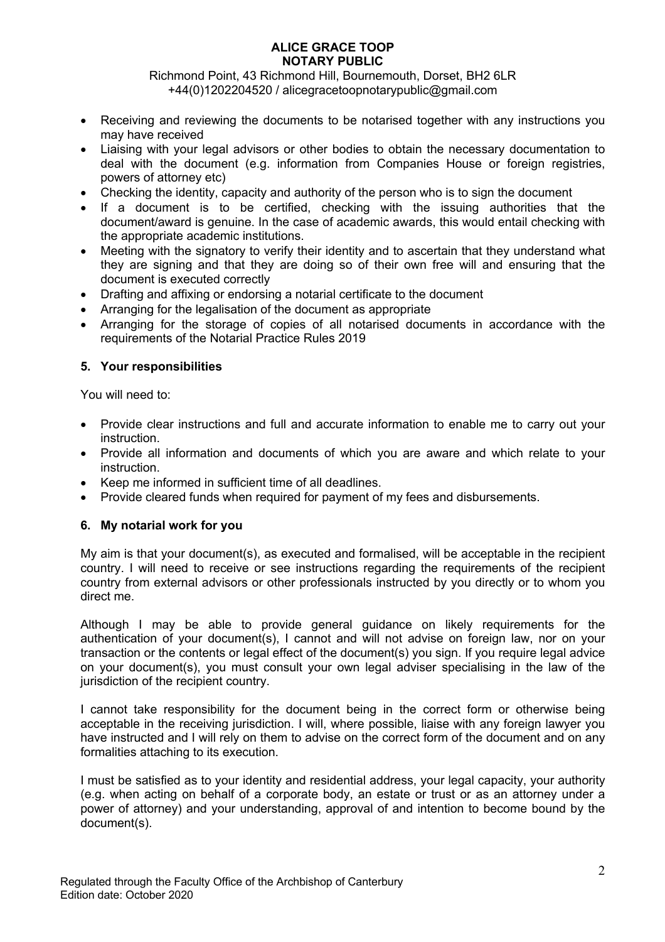Richmond Point, 43 Richmond Hill, Bournemouth, Dorset, BH2 6LR +44(0)1202204520 / alicegracetoopnotarypublic@gmail.com

- Receiving and reviewing the documents to be notarised together with any instructions you may have received
- Liaising with your legal advisors or other bodies to obtain the necessary documentation to deal with the document (e.g. information from Companies House or foreign registries, powers of attorney etc)
- Checking the identity, capacity and authority of the person who is to sign the document
- If a document is to be certified, checking with the issuing authorities that the document/award is genuine. In the case of academic awards, this would entail checking with the appropriate academic institutions.
- Meeting with the signatory to verify their identity and to ascertain that they understand what they are signing and that they are doing so of their own free will and ensuring that the document is executed correctly
- Drafting and affixing or endorsing a notarial certificate to the document
- Arranging for the legalisation of the document as appropriate
- Arranging for the storage of copies of all notarised documents in accordance with the requirements of the Notarial Practice Rules 2019

## **5. Your responsibilities**

You will need to:

- Provide clear instructions and full and accurate information to enable me to carry out your instruction.
- Provide all information and documents of which you are aware and which relate to your instruction.
- Keep me informed in sufficient time of all deadlines.
- Provide cleared funds when required for payment of my fees and disbursements.

## **6. My notarial work for you**

My aim is that your document(s), as executed and formalised, will be acceptable in the recipient country. I will need to receive or see instructions regarding the requirements of the recipient country from external advisors or other professionals instructed by you directly or to whom you direct me.

Although I may be able to provide general guidance on likely requirements for the authentication of your document(s), I cannot and will not advise on foreign law, nor on your transaction or the contents or legal effect of the document(s) you sign. If you require legal advice on your document(s), you must consult your own legal adviser specialising in the law of the jurisdiction of the recipient country.

I cannot take responsibility for the document being in the correct form or otherwise being acceptable in the receiving jurisdiction. I will, where possible, liaise with any foreign lawyer you have instructed and I will rely on them to advise on the correct form of the document and on any formalities attaching to its execution.

I must be satisfied as to your identity and residential address, your legal capacity, your authority (e.g. when acting on behalf of a corporate body, an estate or trust or as an attorney under a power of attorney) and your understanding, approval of and intention to become bound by the document(s).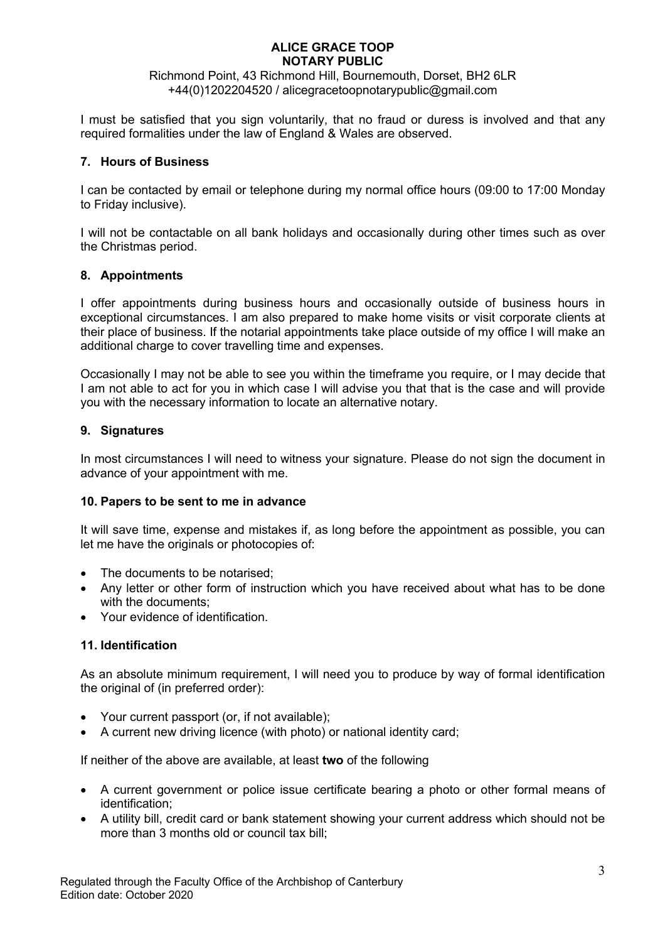Richmond Point, 43 Richmond Hill, Bournemouth, Dorset, BH2 6LR +44(0)1202204520 / alicegracetoopnotarypublic@gmail.com

I must be satisfied that you sign voluntarily, that no fraud or duress is involved and that any required formalities under the law of England & Wales are observed.

## **7. Hours of Business**

I can be contacted by email or telephone during my normal office hours (09:00 to 17:00 Monday to Friday inclusive).

I will not be contactable on all bank holidays and occasionally during other times such as over the Christmas period.

## **8. Appointments**

I offer appointments during business hours and occasionally outside of business hours in exceptional circumstances. I am also prepared to make home visits or visit corporate clients at their place of business. If the notarial appointments take place outside of my office I will make an additional charge to cover travelling time and expenses.

Occasionally I may not be able to see you within the timeframe you require, or I may decide that I am not able to act for you in which case I will advise you that that is the case and will provide you with the necessary information to locate an alternative notary.

### **9. Signatures**

In most circumstances I will need to witness your signature. Please do not sign the document in advance of your appointment with me.

## **10. Papers to be sent to me in advance**

It will save time, expense and mistakes if, as long before the appointment as possible, you can let me have the originals or photocopies of:

- The documents to be notarised;
- Any letter or other form of instruction which you have received about what has to be done with the documents:
- Your evidence of identification

## **11. Identification**

As an absolute minimum requirement, I will need you to produce by way of formal identification the original of (in preferred order):

- Your current passport (or, if not available);
- A current new driving licence (with photo) or national identity card;

If neither of the above are available, at least **two** of the following

- A current government or police issue certificate bearing a photo or other formal means of identification;
- A utility bill, credit card or bank statement showing your current address which should not be more than 3 months old or council tax bill;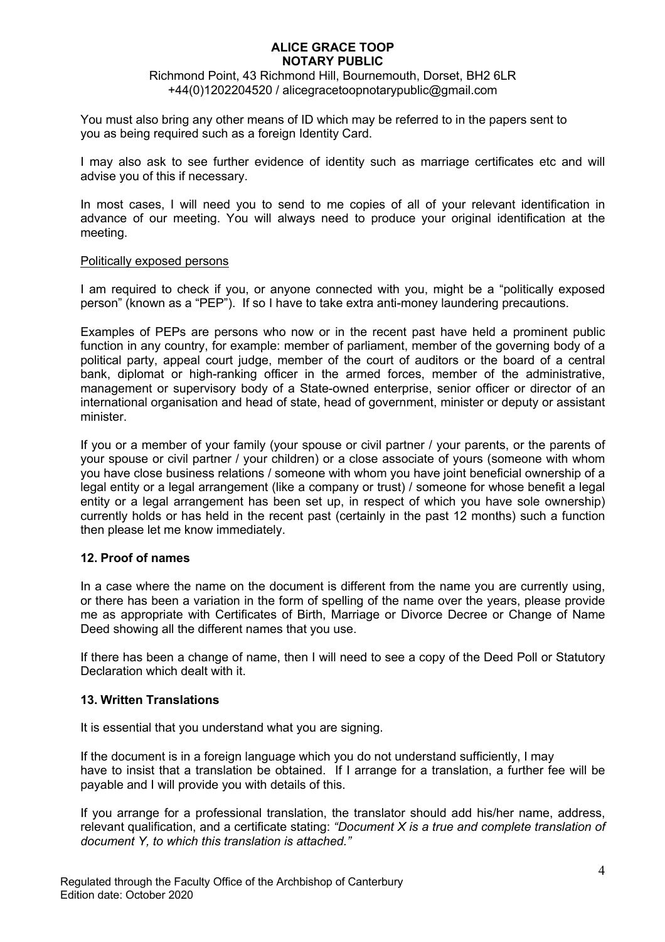Richmond Point, 43 Richmond Hill, Bournemouth, Dorset, BH2 6LR +44(0)1202204520 / alicegracetoopnotarypublic@gmail.com

You must also bring any other means of ID which may be referred to in the papers sent to you as being required such as a foreign Identity Card.

I may also ask to see further evidence of identity such as marriage certificates etc and will advise you of this if necessary.

In most cases, I will need you to send to me copies of all of your relevant identification in advance of our meeting. You will always need to produce your original identification at the meeting.

### Politically exposed persons

I am required to check if you, or anyone connected with you, might be a "politically exposed person" (known as a "PEP"). If so I have to take extra anti-money laundering precautions.

Examples of PEPs are persons who now or in the recent past have held a prominent public function in any country, for example: member of parliament, member of the governing body of a political party, appeal court judge, member of the court of auditors or the board of a central bank, diplomat or high-ranking officer in the armed forces, member of the administrative, management or supervisory body of a State-owned enterprise, senior officer or director of an international organisation and head of state, head of government, minister or deputy or assistant minister.

If you or a member of your family (your spouse or civil partner / your parents, or the parents of your spouse or civil partner / your children) or a close associate of yours (someone with whom you have close business relations / someone with whom you have joint beneficial ownership of a legal entity or a legal arrangement (like a company or trust) / someone for whose benefit a legal entity or a legal arrangement has been set up, in respect of which you have sole ownership) currently holds or has held in the recent past (certainly in the past 12 months) such a function then please let me know immediately.

## **12. Proof of names**

In a case where the name on the document is different from the name you are currently using, or there has been a variation in the form of spelling of the name over the years, please provide me as appropriate with Certificates of Birth, Marriage or Divorce Decree or Change of Name Deed showing all the different names that you use.

If there has been a change of name, then I will need to see a copy of the Deed Poll or Statutory Declaration which dealt with it.

## **13. Written Translations**

It is essential that you understand what you are signing.

If the document is in a foreign language which you do not understand sufficiently, I may have to insist that a translation be obtained. If I arrange for a translation, a further fee will be payable and I will provide you with details of this.

If you arrange for a professional translation, the translator should add his/her name, address, relevant qualification, and a certificate stating: *"Document X is a true and complete translation of document Y, to which this translation is attached."*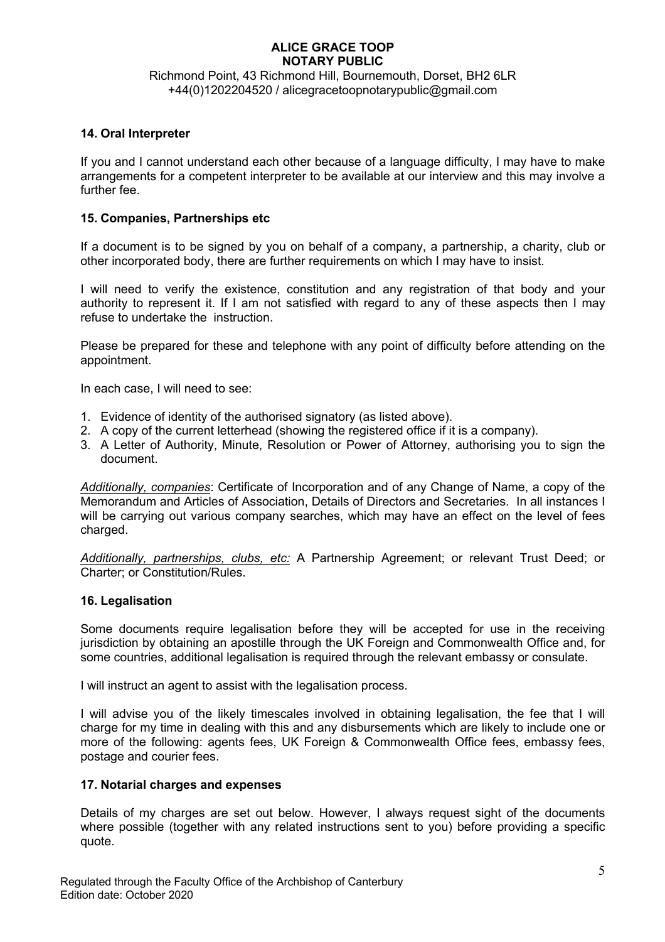## Richmond Point, 43 Richmond Hill, Bournemouth, Dorset, BH2 6LR +44(0)1202204520 / alicegracetoopnotarypublic@gmail.com

## **14. Oral Interpreter**

If you and I cannot understand each other because of a language difficulty, I may have to make arrangements for a competent interpreter to be available at our interview and this may involve a further fee.

### **15. Companies, Partnerships etc**

If a document is to be signed by you on behalf of a company, a partnership, a charity, club or other incorporated body, there are further requirements on which I may have to insist.

I will need to verify the existence, constitution and any registration of that body and your authority to represent it. If I am not satisfied with regard to any of these aspects then I may refuse to undertake the instruction.

Please be prepared for these and telephone with any point of difficulty before attending on the appointment.

In each case, I will need to see:

- 1. Evidence of identity of the authorised signatory (as listed above).
- 2. A copy of the current letterhead (showing the registered office if it is a company).
- 3. A Letter of Authority, Minute, Resolution or Power of Attorney, authorising you to sign the document.

*Additionally, companies*: Certificate of Incorporation and of any Change of Name, a copy of the Memorandum and Articles of Association, Details of Directors and Secretaries. In all instances I will be carrying out various company searches, which may have an effect on the level of fees charged.

*Additionally, partnerships, clubs, etc:* A Partnership Agreement; or relevant Trust Deed; or Charter; or Constitution/Rules.

#### **16. Legalisation**

Some documents require legalisation before they will be accepted for use in the receiving jurisdiction by obtaining an apostille through the UK Foreign and Commonwealth Office and, for some countries, additional legalisation is required through the relevant embassy or consulate.

I will instruct an agent to assist with the legalisation process.

I will advise you of the likely timescales involved in obtaining legalisation, the fee that I will charge for my time in dealing with this and any disbursements which are likely to include one or more of the following: agents fees, UK Foreign & Commonwealth Office fees, embassy fees, postage and courier fees.

#### **17. Notarial charges and expenses**

Details of my charges are set out below. However, I always request sight of the documents where possible (together with any related instructions sent to you) before providing a specific quote.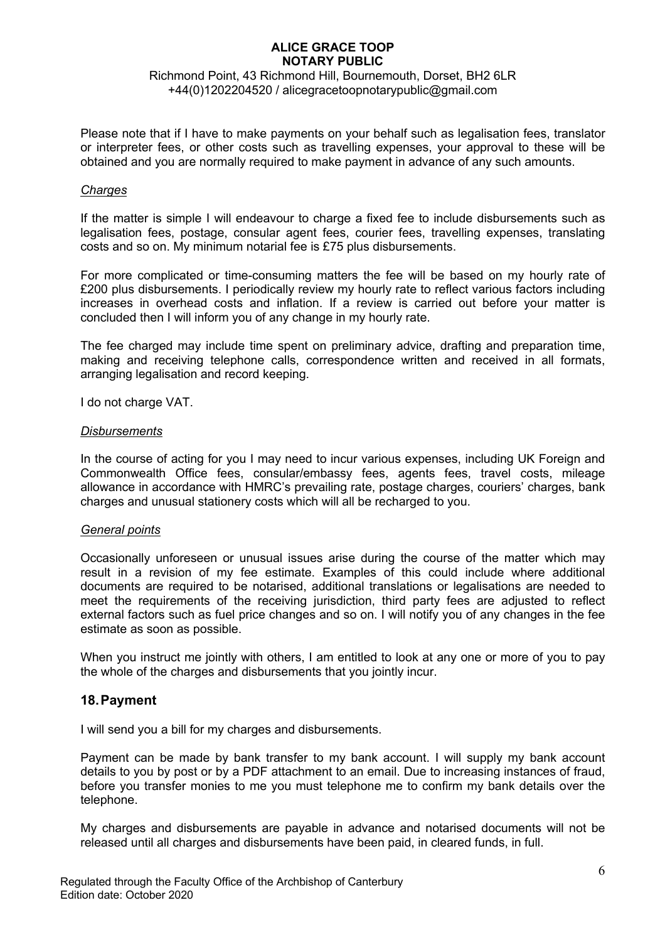## Richmond Point, 43 Richmond Hill, Bournemouth, Dorset, BH2 6LR +44(0)1202204520 / alicegracetoopnotarypublic@gmail.com

Please note that if I have to make payments on your behalf such as legalisation fees, translator or interpreter fees, or other costs such as travelling expenses, your approval to these will be obtained and you are normally required to make payment in advance of any such amounts.

#### *Charges*

If the matter is simple I will endeavour to charge a fixed fee to include disbursements such as legalisation fees, postage, consular agent fees, courier fees, travelling expenses, translating costs and so on. My minimum notarial fee is £75 plus disbursements.

For more complicated or time-consuming matters the fee will be based on my hourly rate of £200 plus disbursements. I periodically review my hourly rate to reflect various factors including increases in overhead costs and inflation. If a review is carried out before your matter is concluded then I will inform you of any change in my hourly rate.

The fee charged may include time spent on preliminary advice, drafting and preparation time, making and receiving telephone calls, correspondence written and received in all formats, arranging legalisation and record keeping.

I do not charge VAT.

### *Disbursements*

In the course of acting for you I may need to incur various expenses, including UK Foreign and Commonwealth Office fees, consular/embassy fees, agents fees, travel costs, mileage allowance in accordance with HMRC's prevailing rate, postage charges, couriers' charges, bank charges and unusual stationery costs which will all be recharged to you.

## *General points*

Occasionally unforeseen or unusual issues arise during the course of the matter which may result in a revision of my fee estimate. Examples of this could include where additional documents are required to be notarised, additional translations or legalisations are needed to meet the requirements of the receiving jurisdiction, third party fees are adjusted to reflect external factors such as fuel price changes and so on. I will notify you of any changes in the fee estimate as soon as possible.

When you instruct me jointly with others, I am entitled to look at any one or more of you to pay the whole of the charges and disbursements that you jointly incur.

## **18.Payment**

I will send you a bill for my charges and disbursements.

Payment can be made by bank transfer to my bank account. I will supply my bank account details to you by post or by a PDF attachment to an email. Due to increasing instances of fraud, before you transfer monies to me you must telephone me to confirm my bank details over the telephone.

My charges and disbursements are payable in advance and notarised documents will not be released until all charges and disbursements have been paid, in cleared funds, in full.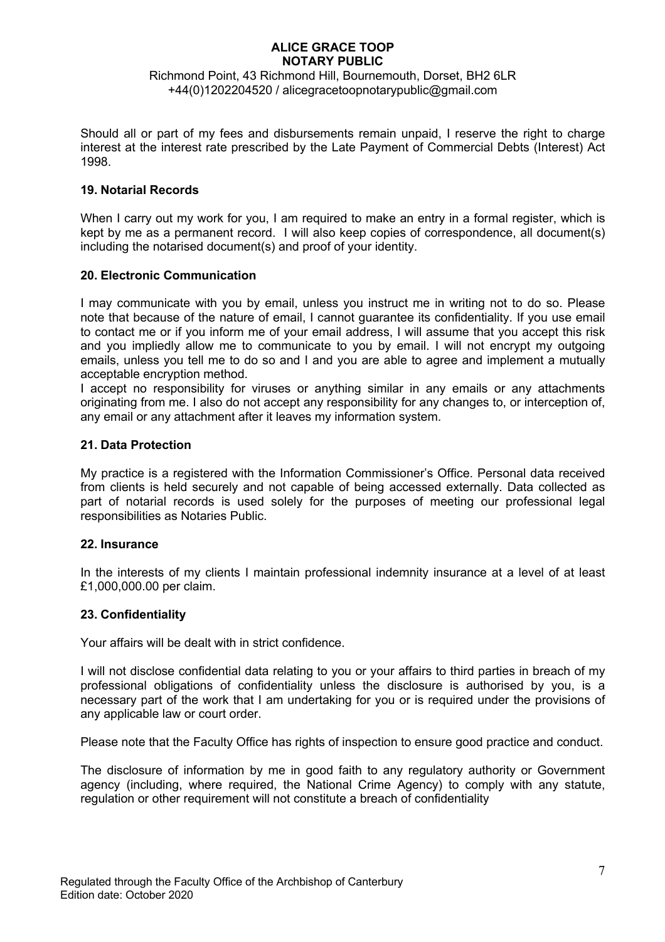## Richmond Point, 43 Richmond Hill, Bournemouth, Dorset, BH2 6LR +44(0)1202204520 / alicegracetoopnotarypublic@gmail.com

Should all or part of my fees and disbursements remain unpaid, I reserve the right to charge interest at the interest rate prescribed by the Late Payment of Commercial Debts (Interest) Act 1998.

### **19. Notarial Records**

When I carry out my work for you, I am required to make an entry in a formal register, which is kept by me as a permanent record. I will also keep copies of correspondence, all document(s) including the notarised document(s) and proof of your identity.

### **20. Electronic Communication**

I may communicate with you by email, unless you instruct me in writing not to do so. Please note that because of the nature of email, I cannot guarantee its confidentiality. If you use email to contact me or if you inform me of your email address, I will assume that you accept this risk and you impliedly allow me to communicate to you by email. I will not encrypt my outgoing emails, unless you tell me to do so and I and you are able to agree and implement a mutually acceptable encryption method.

I accept no responsibility for viruses or anything similar in any emails or any attachments originating from me. I also do not accept any responsibility for any changes to, or interception of, any email or any attachment after it leaves my information system.

### **21. Data Protection**

My practice is a registered with the Information Commissioner's Office. Personal data received from clients is held securely and not capable of being accessed externally. Data collected as part of notarial records is used solely for the purposes of meeting our professional legal responsibilities as Notaries Public.

#### **22. Insurance**

In the interests of my clients I maintain professional indemnity insurance at a level of at least £1,000,000.00 per claim.

## **23. Confidentiality**

Your affairs will be dealt with in strict confidence.

I will not disclose confidential data relating to you or your affairs to third parties in breach of my professional obligations of confidentiality unless the disclosure is authorised by you, is a necessary part of the work that I am undertaking for you or is required under the provisions of any applicable law or court order.

Please note that the Faculty Office has rights of inspection to ensure good practice and conduct.

The disclosure of information by me in good faith to any regulatory authority or Government agency (including, where required, the National Crime Agency) to comply with any statute, regulation or other requirement will not constitute a breach of confidentiality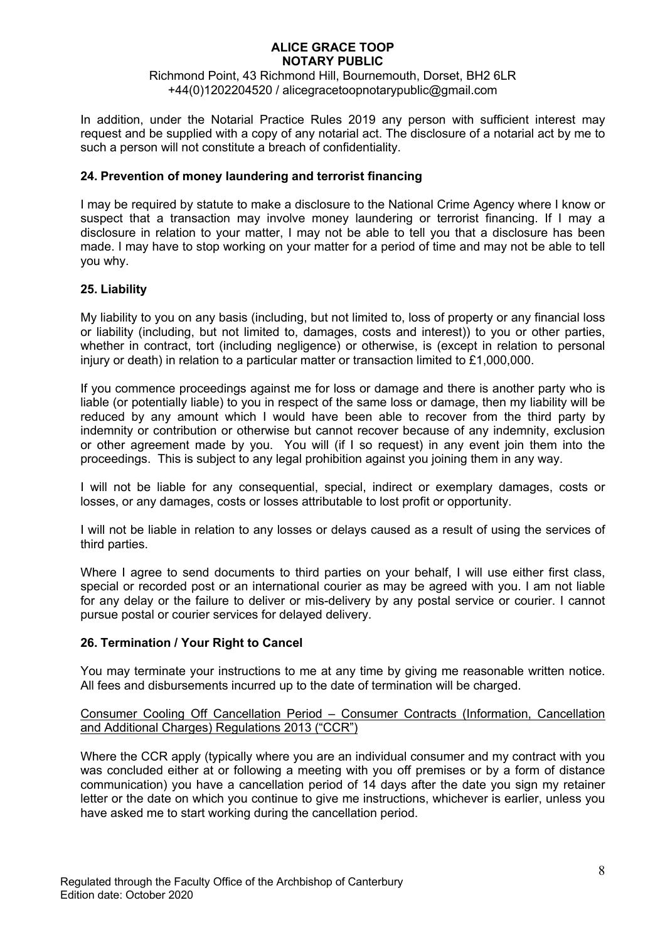Richmond Point, 43 Richmond Hill, Bournemouth, Dorset, BH2 6LR +44(0)1202204520 / alicegracetoopnotarypublic@gmail.com

In addition, under the Notarial Practice Rules 2019 any person with sufficient interest may request and be supplied with a copy of any notarial act. The disclosure of a notarial act by me to such a person will not constitute a breach of confidentiality.

## **24. Prevention of money laundering and terrorist financing**

I may be required by statute to make a disclosure to the National Crime Agency where I know or suspect that a transaction may involve money laundering or terrorist financing. If I may a disclosure in relation to your matter, I may not be able to tell you that a disclosure has been made. I may have to stop working on your matter for a period of time and may not be able to tell you why.

### **25. Liability**

My liability to you on any basis (including, but not limited to, loss of property or any financial loss or liability (including, but not limited to, damages, costs and interest)) to you or other parties, whether in contract, tort (including negligence) or otherwise, is (except in relation to personal injury or death) in relation to a particular matter or transaction limited to £1,000,000.

If you commence proceedings against me for loss or damage and there is another party who is liable (or potentially liable) to you in respect of the same loss or damage, then my liability will be reduced by any amount which I would have been able to recover from the third party by indemnity or contribution or otherwise but cannot recover because of any indemnity, exclusion or other agreement made by you. You will (if I so request) in any event join them into the proceedings. This is subject to any legal prohibition against you joining them in any way.

I will not be liable for any consequential, special, indirect or exemplary damages, costs or losses, or any damages, costs or losses attributable to lost profit or opportunity.

I will not be liable in relation to any losses or delays caused as a result of using the services of third parties.

Where I agree to send documents to third parties on your behalf, I will use either first class, special or recorded post or an international courier as may be agreed with you. I am not liable for any delay or the failure to deliver or mis-delivery by any postal service or courier. I cannot pursue postal or courier services for delayed delivery.

## **26. Termination / Your Right to Cancel**

You may terminate your instructions to me at any time by giving me reasonable written notice. All fees and disbursements incurred up to the date of termination will be charged.

### Consumer Cooling Off Cancellation Period – Consumer Contracts (Information, Cancellation and Additional Charges) Regulations 2013 ("CCR")

Where the CCR apply (typically where you are an individual consumer and my contract with you was concluded either at or following a meeting with you off premises or by a form of distance communication) you have a cancellation period of 14 days after the date you sign my retainer letter or the date on which you continue to give me instructions, whichever is earlier, unless you have asked me to start working during the cancellation period.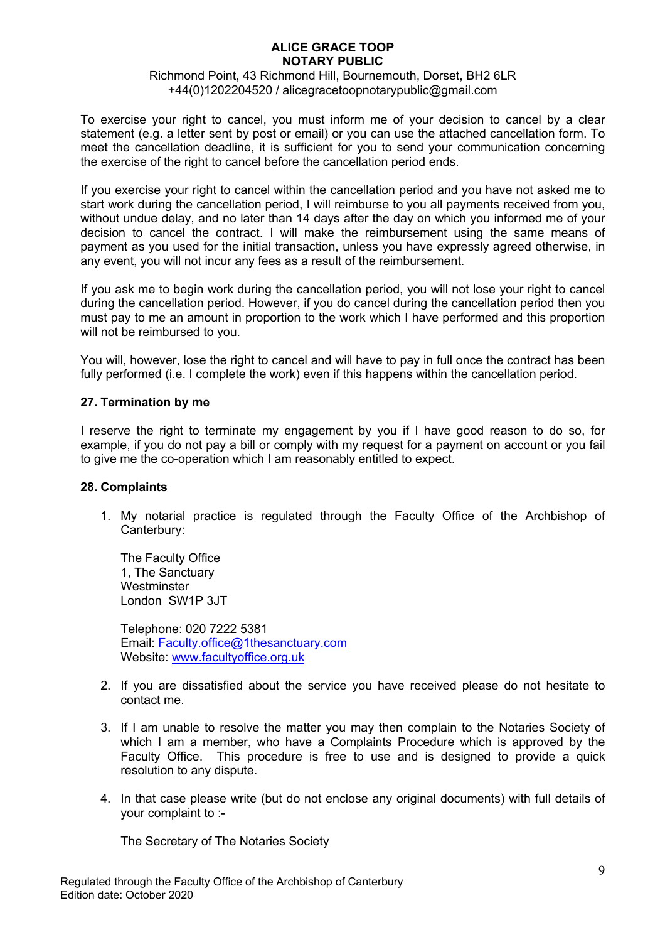### Richmond Point, 43 Richmond Hill, Bournemouth, Dorset, BH2 6LR +44(0)1202204520 / alicegracetoopnotarypublic@gmail.com

To exercise your right to cancel, you must inform me of your decision to cancel by a clear statement (e.g. a letter sent by post or email) or you can use the attached cancellation form. To meet the cancellation deadline, it is sufficient for you to send your communication concerning the exercise of the right to cancel before the cancellation period ends.

If you exercise your right to cancel within the cancellation period and you have not asked me to start work during the cancellation period, I will reimburse to you all payments received from you, without undue delay, and no later than 14 days after the day on which you informed me of your decision to cancel the contract. I will make the reimbursement using the same means of payment as you used for the initial transaction, unless you have expressly agreed otherwise, in any event, you will not incur any fees as a result of the reimbursement.

If you ask me to begin work during the cancellation period, you will not lose your right to cancel during the cancellation period. However, if you do cancel during the cancellation period then you must pay to me an amount in proportion to the work which I have performed and this proportion will not be reimbursed to you.

You will, however, lose the right to cancel and will have to pay in full once the contract has been fully performed (i.e. I complete the work) even if this happens within the cancellation period.

## **27. Termination by me**

I reserve the right to terminate my engagement by you if I have good reason to do so, for example, if you do not pay a bill or comply with my request for a payment on account or you fail to give me the co-operation which I am reasonably entitled to expect.

#### **28. Complaints**

1. My notarial practice is regulated through the Faculty Office of the Archbishop of Canterbury:

The Faculty Office 1, The Sanctuary **Westminster** London SW1P 3JT

Telephone: 020 7222 5381 Email: Faculty.office@1thesanctuary.com Website: www.facultyoffice.org.uk

- 2. If you are dissatisfied about the service you have received please do not hesitate to contact me.
- 3. If I am unable to resolve the matter you may then complain to the Notaries Society of which I am a member, who have a Complaints Procedure which is approved by the Faculty Office. This procedure is free to use and is designed to provide a quick resolution to any dispute.
- 4. In that case please write (but do not enclose any original documents) with full details of your complaint to :-

The Secretary of The Notaries Society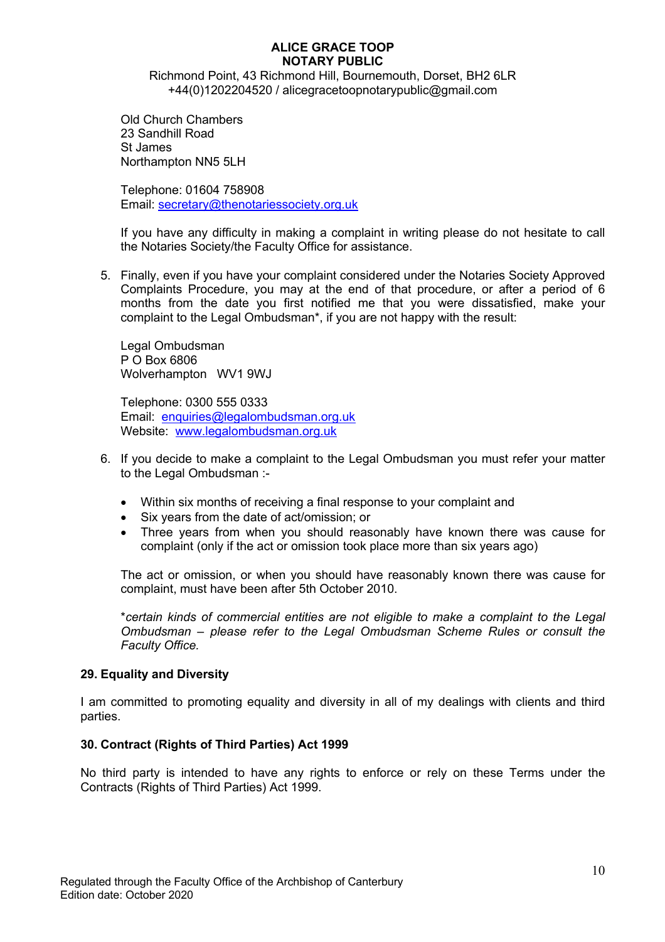Richmond Point, 43 Richmond Hill, Bournemouth, Dorset, BH2 6LR +44(0)1202204520 / alicegracetoopnotarypublic@gmail.com

Old Church Chambers 23 Sandhill Road St James Northampton NN5 5LH

Telephone: 01604 758908 Email: secretary@thenotariessociety.org.uk

If you have any difficulty in making a complaint in writing please do not hesitate to call the Notaries Society/the Faculty Office for assistance.

5. Finally, even if you have your complaint considered under the Notaries Society Approved Complaints Procedure, you may at the end of that procedure, or after a period of 6 months from the date you first notified me that you were dissatisfied, make your complaint to the Legal Ombudsman\*, if you are not happy with the result:

Legal Ombudsman P O Box 6806 Wolverhampton WV1 9WJ

Telephone: 0300 555 0333 Email: enquiries@legalombudsman.org.uk Website: www.legalombudsman.org.uk

- 6. If you decide to make a complaint to the Legal Ombudsman you must refer your matter to the Legal Ombudsman :-
	- Within six months of receiving a final response to your complaint and
	- Six years from the date of act/omission; or
	- Three years from when you should reasonably have known there was cause for complaint (only if the act or omission took place more than six years ago)

The act or omission, or when you should have reasonably known there was cause for complaint, must have been after 5th October 2010.

\**certain kinds of commercial entities are not eligible to make a complaint to the Legal Ombudsman – please refer to the Legal Ombudsman Scheme Rules or consult the Faculty Office.* 

## **29. Equality and Diversity**

I am committed to promoting equality and diversity in all of my dealings with clients and third parties.

## **30. Contract (Rights of Third Parties) Act 1999**

No third party is intended to have any rights to enforce or rely on these Terms under the Contracts (Rights of Third Parties) Act 1999.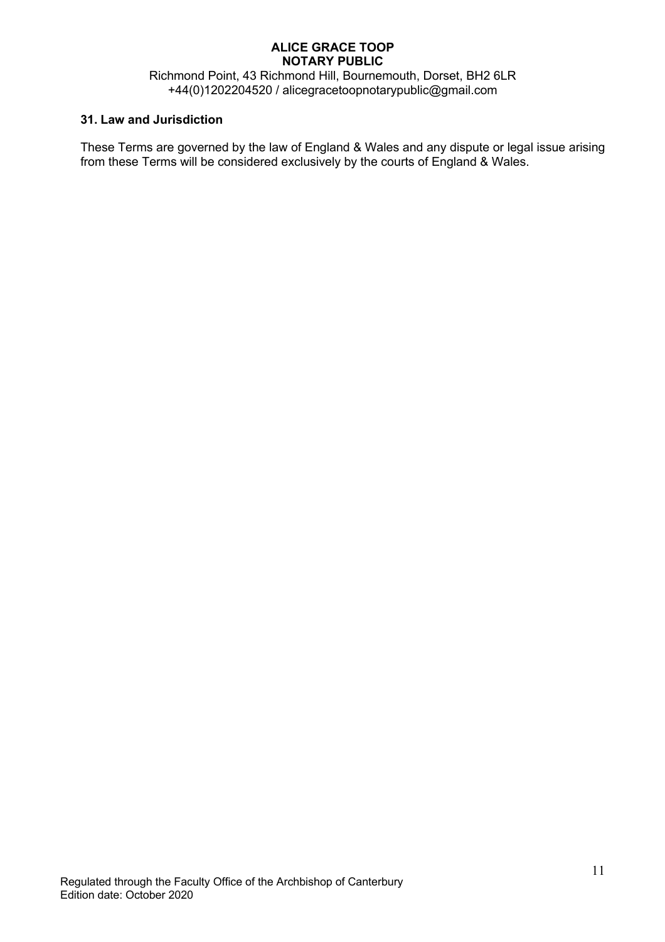Richmond Point, 43 Richmond Hill, Bournemouth, Dorset, BH2 6LR +44(0)1202204520 / alicegracetoopnotarypublic@gmail.com

## **31. Law and Jurisdiction**

These Terms are governed by the law of England & Wales and any dispute or legal issue arising from these Terms will be considered exclusively by the courts of England & Wales.